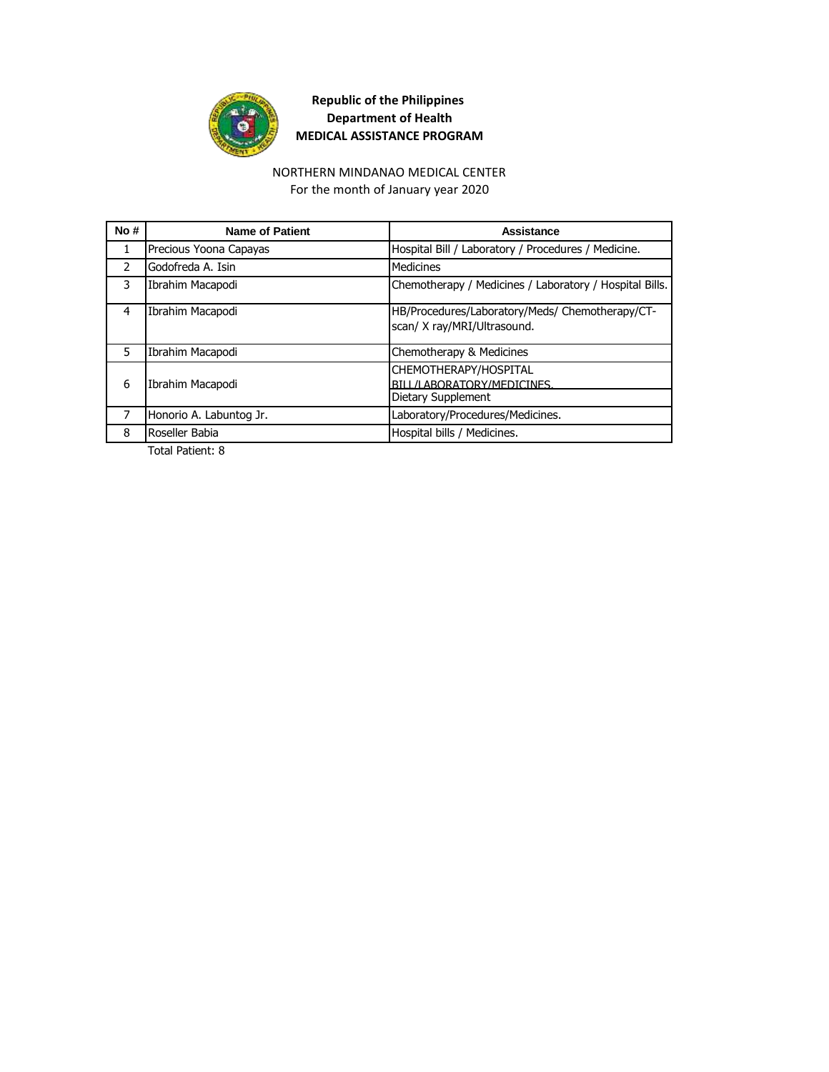

#### NORTHERN MINDANAO MEDICAL CENTER

For the month of January year 2020

| No#           | <b>Name of Patient</b>  | Assistance                                                                     |
|---------------|-------------------------|--------------------------------------------------------------------------------|
| $\mathbf{1}$  | Precious Yoona Capayas  | Hospital Bill / Laboratory / Procedures / Medicine.                            |
| $\mathcal{P}$ | Godofreda A. Isin       | Medicines                                                                      |
| 3             | Ibrahim Macapodi        | Chemotherapy / Medicines / Laboratory / Hospital Bills.                        |
| 4             | Ibrahim Macapodi        | HB/Procedures/Laboratory/Meds/ Chemotherapy/CT-<br>scan/ X ray/MRI/Ultrasound. |
| 5             | Ibrahim Macapodi        | Chemotherapy & Medicines                                                       |
| 6             | Ibrahim Macapodi        | CHEMOTHERAPY/HOSPITAL<br>BILL/LABORATORY/MEDICINES.<br>Dietary Supplement      |
|               | Honorio A. Labuntog Jr. | Laboratory/Procedures/Medicines.                                               |
| 8             | Roseller Babia          | Hospital bills / Medicines.                                                    |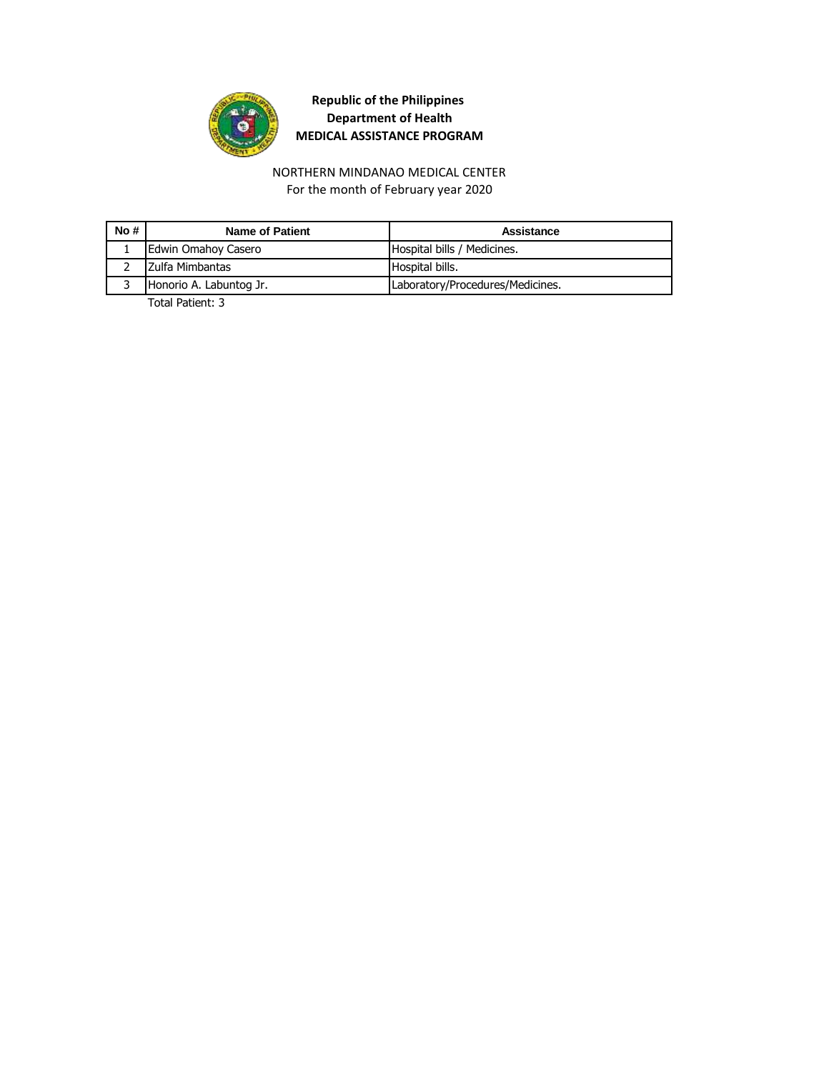

#### NORTHERN MINDANAO MEDICAL CENTER For the month of February year 2020

| No# | <b>Name of Patient</b>  | Assistance                       |
|-----|-------------------------|----------------------------------|
|     | Edwin Omahoy Casero     | Hospital bills / Medicines.      |
|     | Zulfa Mimbantas         | Hospital bills.                  |
|     | Honorio A. Labuntog Jr. | Laboratory/Procedures/Medicines. |
|     |                         |                                  |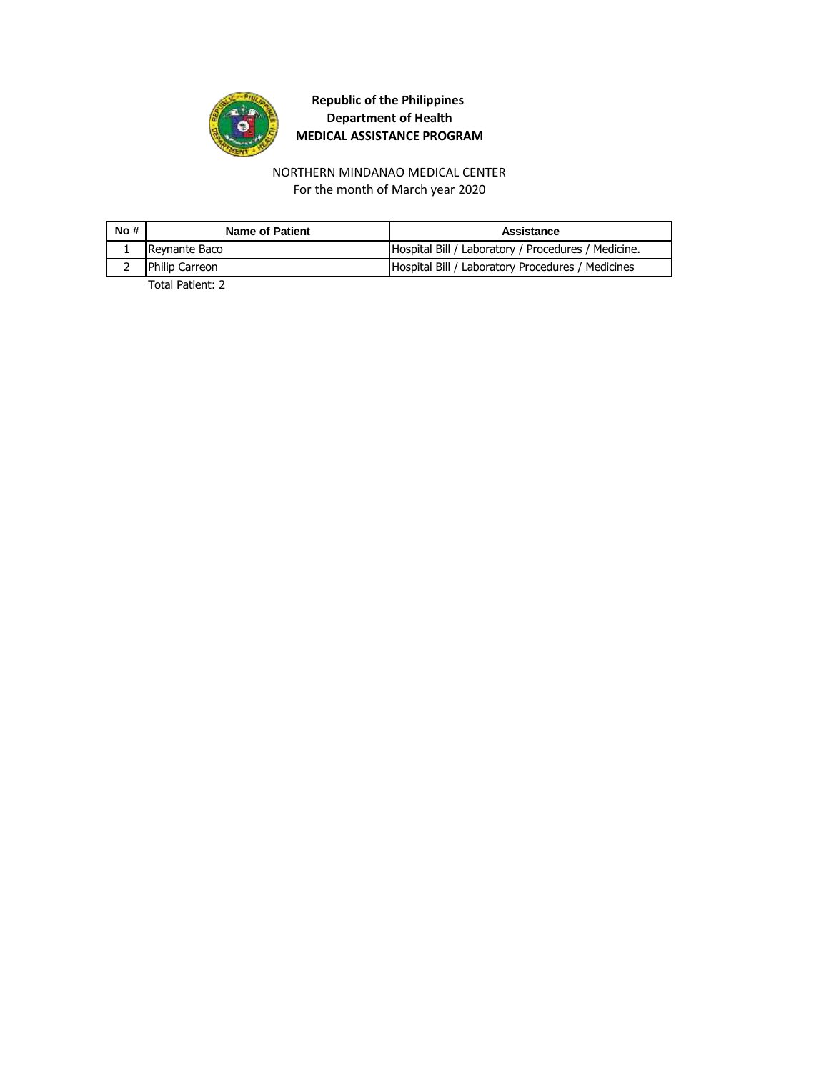

NORTHERN MINDANAO MEDICAL CENTER For the month of March year 2020

| No# | Name of Patient | Assistance                                          |
|-----|-----------------|-----------------------------------------------------|
|     | Reynante Baco   | Hospital Bill / Laboratory / Procedures / Medicine. |
|     | Philip Carreon  | Hospital Bill / Laboratory Procedures / Medicines   |
|     | _ _  . _        |                                                     |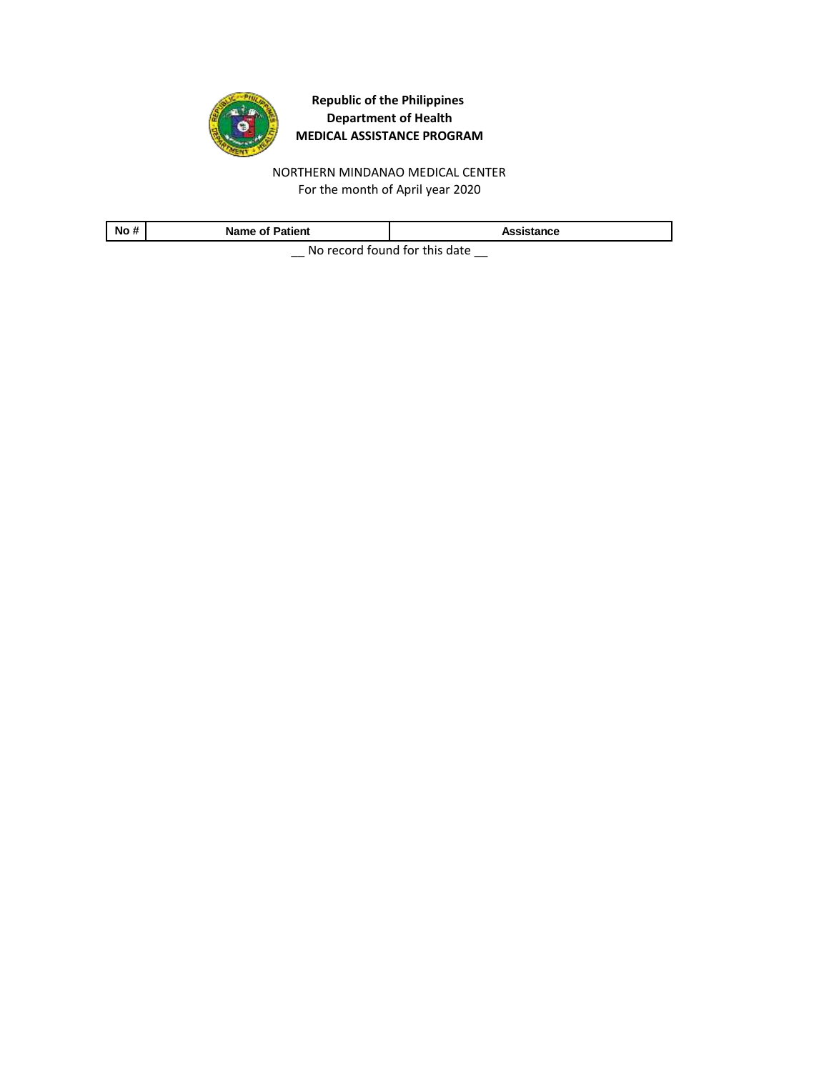

NORTHERN MINDANAO MEDICAL CENTER For the month of April year 2020

| No #                          | <b>Name of Patient</b> | Assistance |
|-------------------------------|------------------------|------------|
| No rocard found for this data |                        |            |

\_\_ No record found for this date \_\_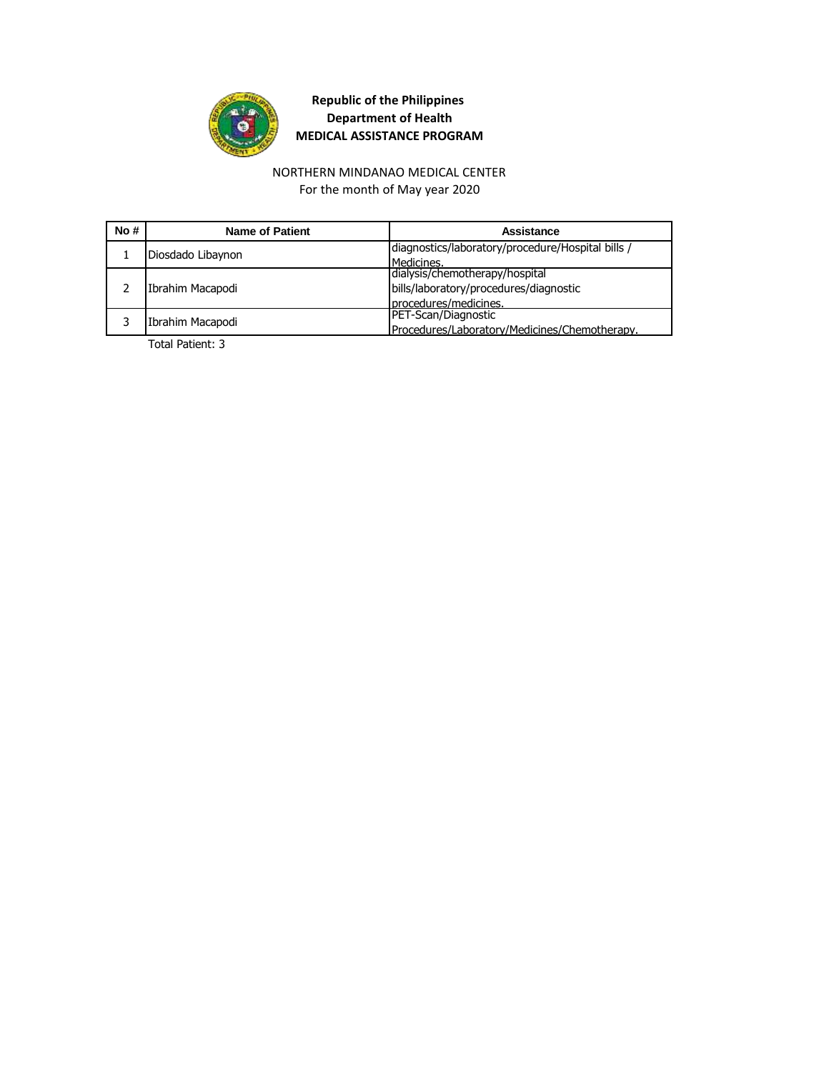

# NORTHERN MINDANAO MEDICAL CENTER

For the month of May year 2020

| No# | <b>Name of Patient</b> | Assistance                                        |
|-----|------------------------|---------------------------------------------------|
|     | Diosdado Libaynon      | diagnostics/laboratory/procedure/Hospital bills / |
|     |                        | Medicines.                                        |
|     | Ibrahim Macapodi       | dialysis/chemotherapy/hospital                    |
|     |                        | bills/laboratory/procedures/diagnostic            |
|     |                        | procedures/medicines.                             |
|     | Ibrahim Macapodi       | PET-Scan/Diagnostic                               |
|     |                        | Procedures/Laboratory/Medicines/Chemotherapy.     |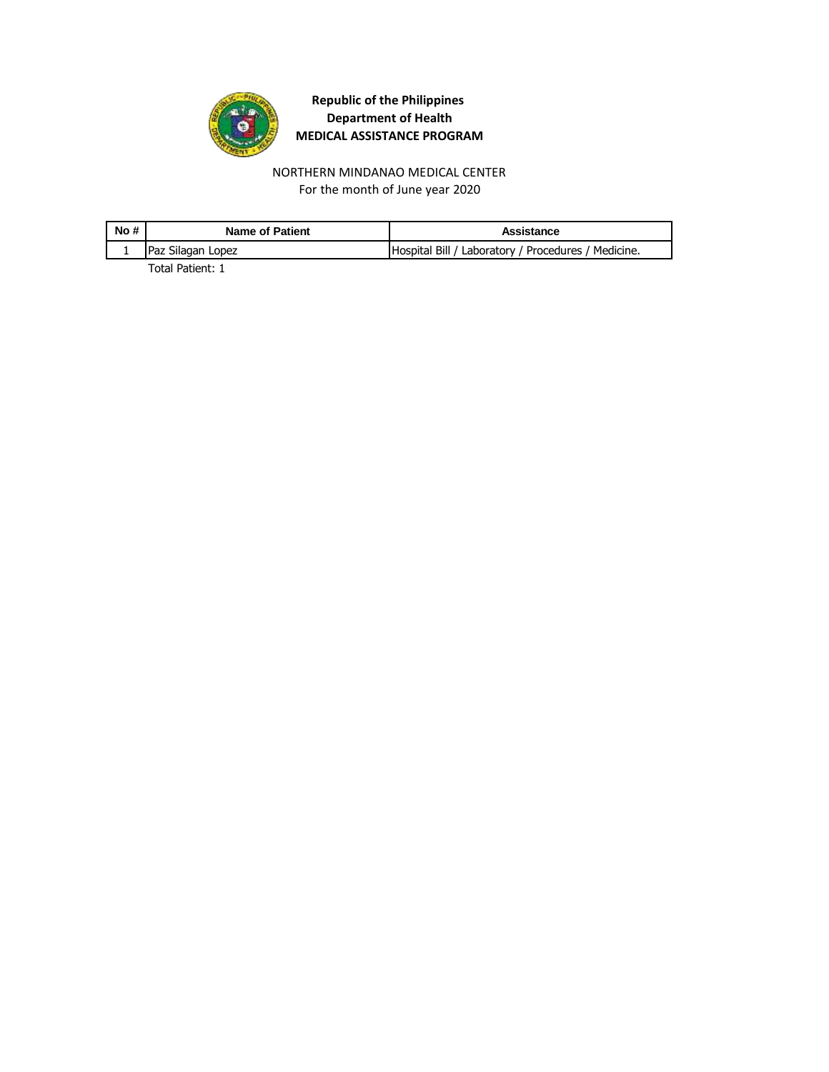

NORTHERN MINDANAO MEDICAL CENTER For the month of June year 2020

| No# | <b>Name of Patient</b> | Assistance                                          |
|-----|------------------------|-----------------------------------------------------|
|     | Paz Silagan Lopez      | Hospital Bill / Laboratory / Procedures / Medicine. |
|     | _ _                    |                                                     |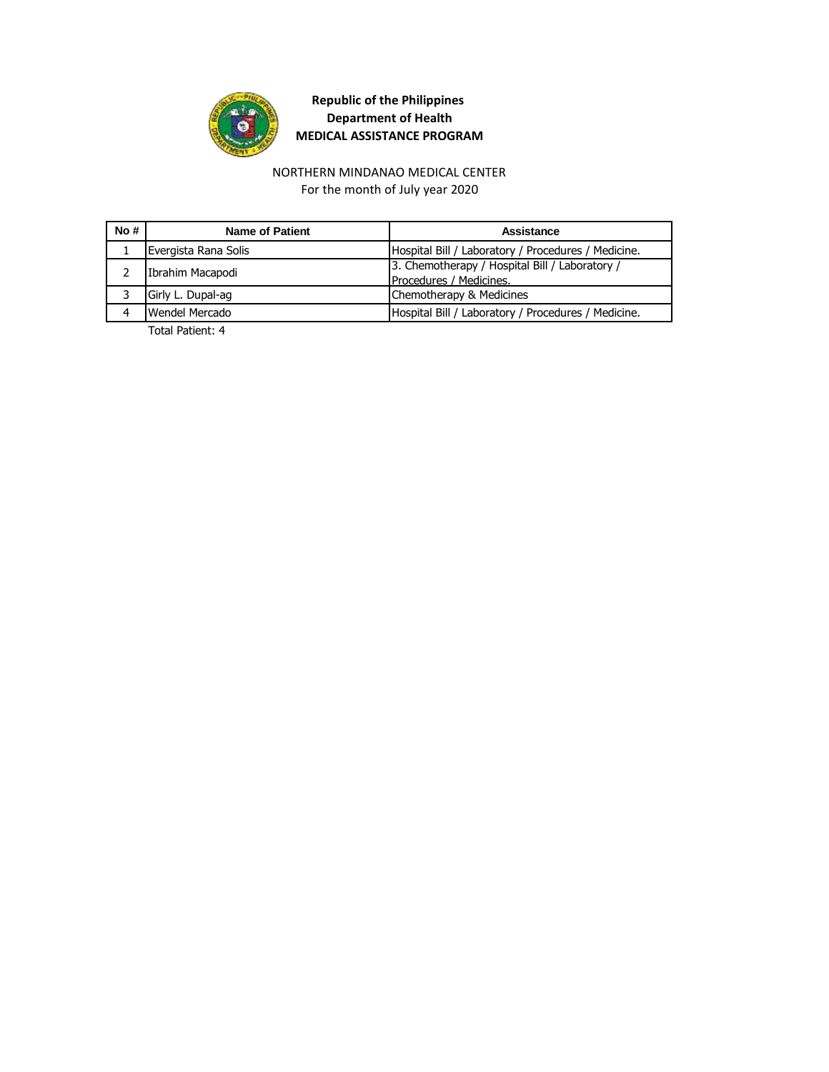

#### NORTHERN MINDANAO MEDICAL CENTER For the month of July year 2020

| No# | Name of Patient      | Assistance                                          |
|-----|----------------------|-----------------------------------------------------|
|     | Evergista Rana Solis | Hospital Bill / Laboratory / Procedures / Medicine. |
|     | Ibrahim Macapodi     | 3. Chemotherapy / Hospital Bill / Laboratory /      |
|     |                      | Procedures / Medicines.                             |
|     | Girly L. Dupal-ag    | Chemotherapy & Medicines                            |
|     | Wendel Mercado       | Hospital Bill / Laboratory / Procedures / Medicine. |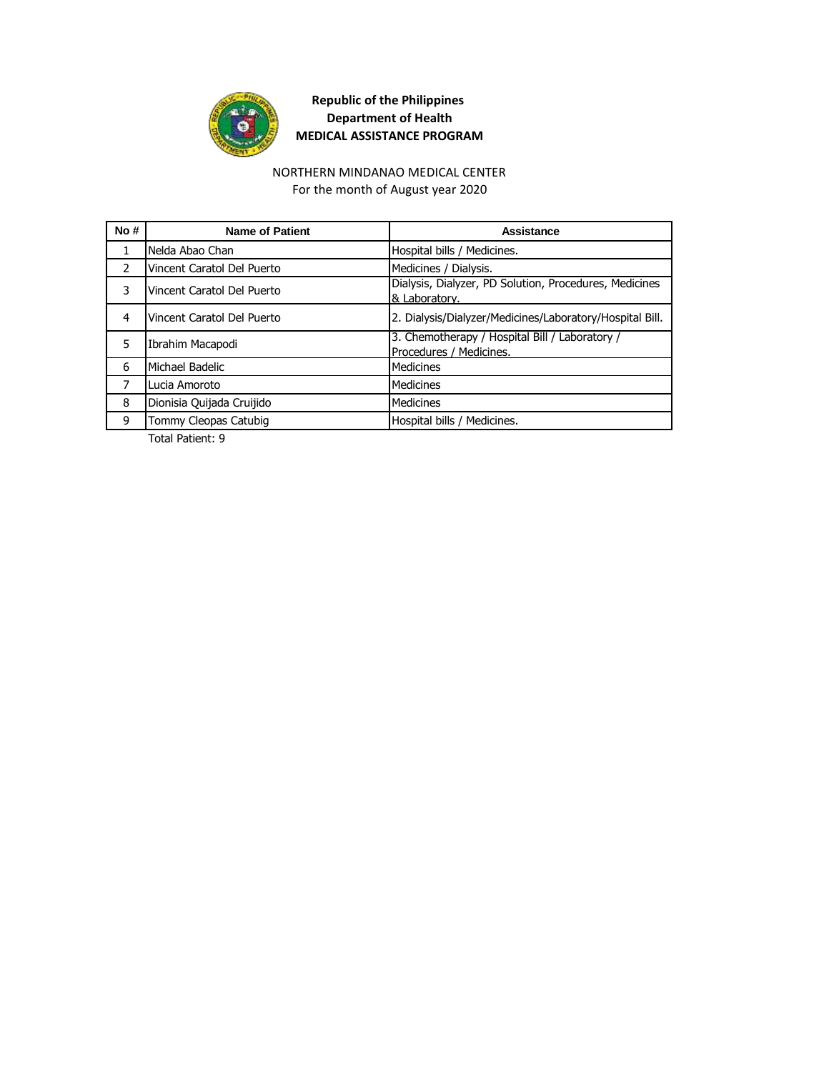

#### NORTHERN MINDANAO MEDICAL CENTER

For the month of August year 2020

| No#            | <b>Name of Patient</b>     | Assistance                                                                |
|----------------|----------------------------|---------------------------------------------------------------------------|
| 1              | Nelda Abao Chan            | Hospital bills / Medicines.                                               |
| $\mathcal{P}$  | Vincent Caratol Del Puerto | Medicines / Dialysis.                                                     |
| 3              | Vincent Caratol Del Puerto | Dialysis, Dialyzer, PD Solution, Procedures, Medicines<br>& Laboratory.   |
| 4              | Vincent Caratol Del Puerto | 2. Dialysis/Dialyzer/Medicines/Laboratory/Hospital Bill.                  |
| 5              | Ibrahim Macapodi           | 3. Chemotherapy / Hospital Bill / Laboratory /<br>Procedures / Medicines. |
| 6              | Michael Badelic            | Medicines                                                                 |
| $\overline{7}$ | Lucia Amoroto              | Medicines                                                                 |
| 8              | Dionisia Quijada Cruijido  | Medicines                                                                 |
| 9              | Tommy Cleopas Catubig      | Hospital bills / Medicines.                                               |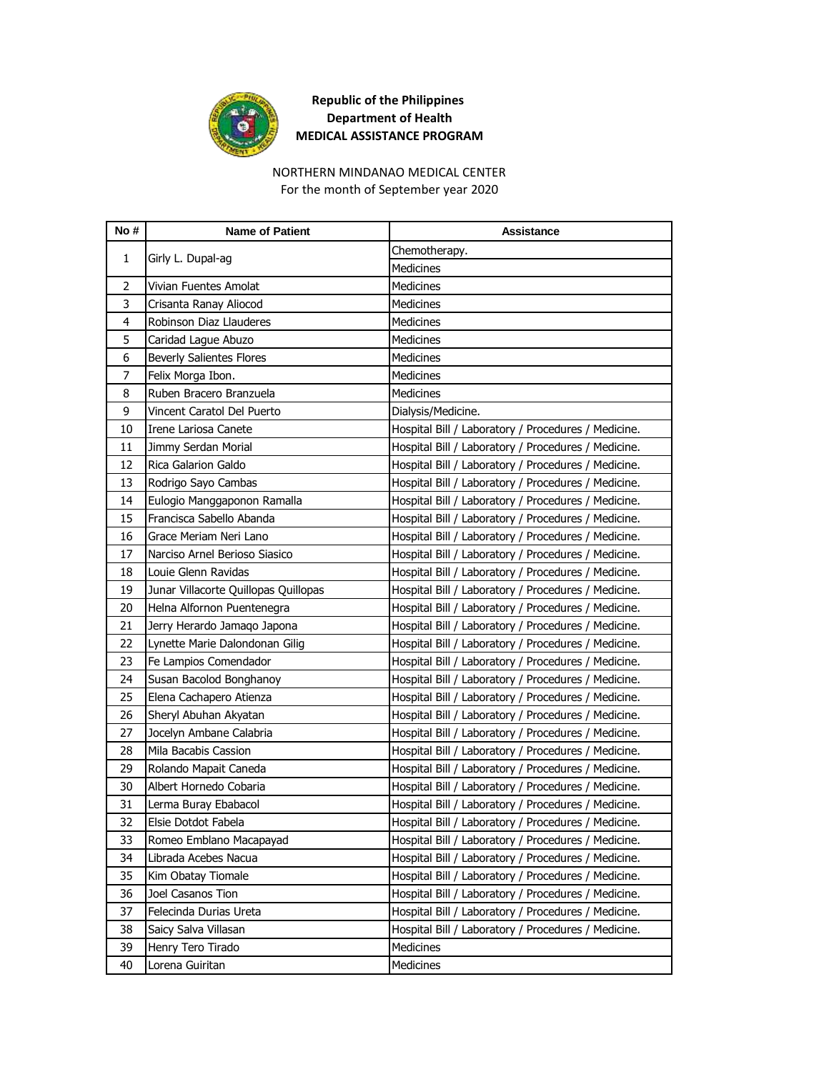

#### NORTHERN MINDANAO MEDICAL CENTER

For the month of September year 2020

| No#            | <b>Name of Patient</b>               | <b>Assistance</b>                                   |
|----------------|--------------------------------------|-----------------------------------------------------|
| 1              |                                      | Chemotherapy.                                       |
|                | Girly L. Dupal-ag                    | <b>Medicines</b>                                    |
| $\overline{2}$ | Vivian Fuentes Amolat                | <b>Medicines</b>                                    |
| 3              | Crisanta Ranay Aliocod               | Medicines                                           |
| 4              | Robinson Diaz Llauderes              | Medicines                                           |
| 5              | Caridad Lague Abuzo                  | Medicines                                           |
| 6              | <b>Beverly Salientes Flores</b>      | <b>Medicines</b>                                    |
| 7              | Felix Morga Ibon.                    | <b>Medicines</b>                                    |
| 8              | Ruben Bracero Branzuela              | <b>Medicines</b>                                    |
| 9              | Vincent Caratol Del Puerto           | Dialysis/Medicine.                                  |
| 10             | Irene Lariosa Canete                 | Hospital Bill / Laboratory / Procedures / Medicine. |
| 11             | Jimmy Serdan Morial                  | Hospital Bill / Laboratory / Procedures / Medicine. |
| 12             | Rica Galarion Galdo                  | Hospital Bill / Laboratory / Procedures / Medicine. |
| 13             | Rodrigo Sayo Cambas                  | Hospital Bill / Laboratory / Procedures / Medicine. |
| 14             | Eulogio Manggaponon Ramalla          | Hospital Bill / Laboratory / Procedures / Medicine. |
| 15             | Francisca Sabello Abanda             | Hospital Bill / Laboratory / Procedures / Medicine. |
| 16             | Grace Meriam Neri Lano               | Hospital Bill / Laboratory / Procedures / Medicine. |
| 17             | Narciso Arnel Berioso Siasico        | Hospital Bill / Laboratory / Procedures / Medicine. |
| 18             | Louie Glenn Ravidas                  | Hospital Bill / Laboratory / Procedures / Medicine. |
| 19             | Junar Villacorte Quillopas Quillopas | Hospital Bill / Laboratory / Procedures / Medicine. |
| 20             | Helna Alfornon Puentenegra           | Hospital Bill / Laboratory / Procedures / Medicine. |
| 21             | Jerry Herardo Jamago Japona          | Hospital Bill / Laboratory / Procedures / Medicine. |
| 22             | Lynette Marie Dalondonan Gilig       | Hospital Bill / Laboratory / Procedures / Medicine. |
| 23             | Fe Lampios Comendador                | Hospital Bill / Laboratory / Procedures / Medicine. |
| 24             | Susan Bacolod Bonghanoy              | Hospital Bill / Laboratory / Procedures / Medicine. |
| 25             | Elena Cachapero Atienza              | Hospital Bill / Laboratory / Procedures / Medicine. |
| 26             | Sheryl Abuhan Akyatan                | Hospital Bill / Laboratory / Procedures / Medicine. |
| 27             | Jocelyn Ambane Calabria              | Hospital Bill / Laboratory / Procedures / Medicine. |
| 28             | Mila Bacabis Cassion                 | Hospital Bill / Laboratory / Procedures / Medicine. |
| 29             | Rolando Mapait Caneda                | Hospital Bill / Laboratory / Procedures / Medicine. |
| 30             | Albert Hornedo Cobaria               | Hospital Bill / Laboratory / Procedures / Medicine. |
| 31             | Lerma Buray Ebabacol                 | Hospital Bill / Laboratory / Procedures / Medicine. |
| 32             | Elsie Dotdot Fabela                  | Hospital Bill / Laboratory / Procedures / Medicine. |
| 33             | Romeo Emblano Macapayad              | Hospital Bill / Laboratory / Procedures / Medicine. |
| 34             | Librada Acebes Nacua                 | Hospital Bill / Laboratory / Procedures / Medicine. |
| 35             | Kim Obatay Tiomale                   | Hospital Bill / Laboratory / Procedures / Medicine. |
| 36             | Joel Casanos Tion                    | Hospital Bill / Laboratory / Procedures / Medicine. |
| 37             | Felecinda Durias Ureta               | Hospital Bill / Laboratory / Procedures / Medicine. |
| 38             | Saicy Salva Villasan                 | Hospital Bill / Laboratory / Procedures / Medicine. |
| 39             | Henry Tero Tirado                    | Medicines                                           |
| 40             | Lorena Guiritan                      | Medicines                                           |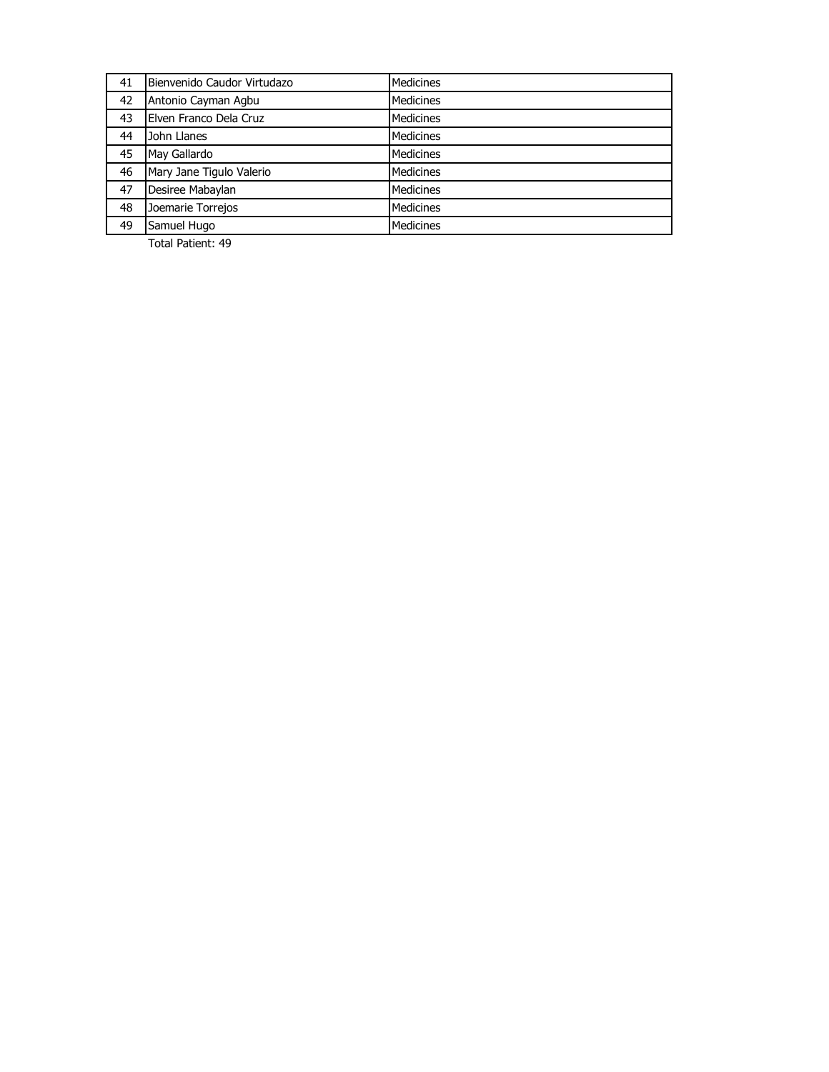| 41 | Bienvenido Caudor Virtudazo | <b>Medicines</b> |
|----|-----------------------------|------------------|
| 42 | Antonio Cayman Agbu         | Medicines        |
| 43 | Elven Franco Dela Cruz      | <b>Medicines</b> |
| 44 | John Llanes                 | <b>Medicines</b> |
| 45 | May Gallardo                | <b>Medicines</b> |
| 46 | Mary Jane Tigulo Valerio    | <b>Medicines</b> |
| 47 | Desiree Mabaylan            | <b>Medicines</b> |
| 48 | Joemarie Torrejos           | <b>Medicines</b> |
| 49 | Samuel Hugo                 | <b>Medicines</b> |